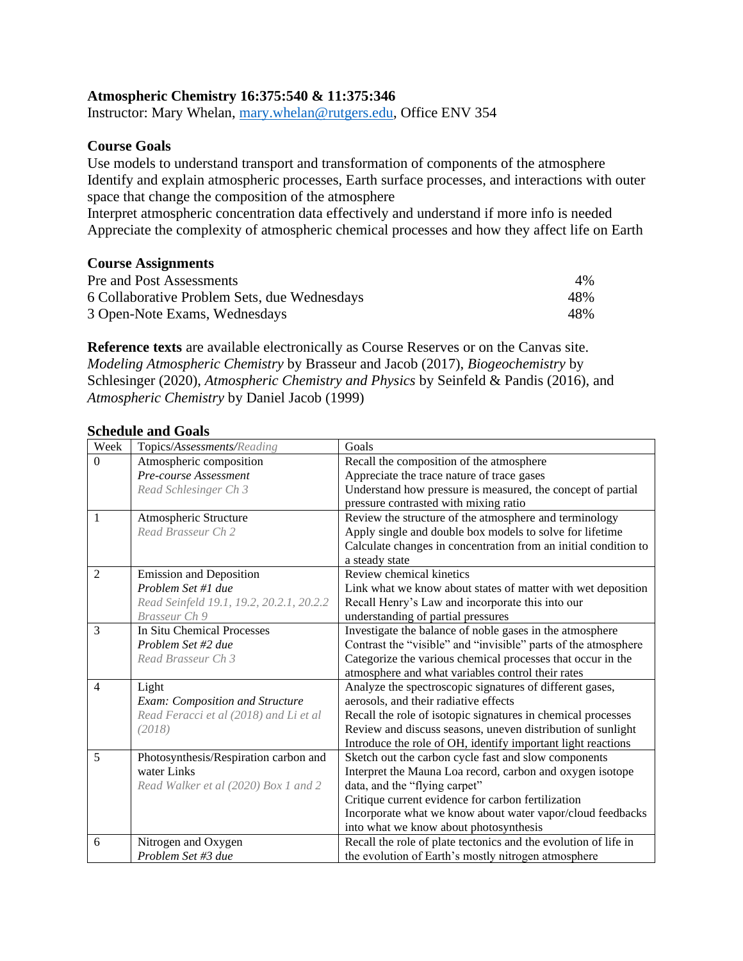## **Atmospheric Chemistry 16:375:540 & 11:375:346**

Instructor: Mary Whelan, [mary.whelan@rutgers.edu,](mailto:mary.whelan@rutgers.edu) Office ENV 354

## **Course Goals**

Use models to understand transport and transformation of components of the atmosphere Identify and explain atmospheric processes, Earth surface processes, and interactions with outer space that change the composition of the atmosphere

Interpret atmospheric concentration data effectively and understand if more info is needed Appreciate the complexity of atmospheric chemical processes and how they affect life on Earth

### **Course Assignments**

| Pre and Post Assessments                     | $4\%$ |
|----------------------------------------------|-------|
| 6 Collaborative Problem Sets, due Wednesdays | 48%   |
| 3 Open-Note Exams, Wednesdays                | 48%   |

**Reference texts** are available electronically as Course Reserves or on the Canvas site. *Modeling Atmospheric Chemistry* by Brasseur and Jacob (2017), *Biogeochemistry* by Schlesinger (2020), *Atmospheric Chemistry and Physics* by Seinfeld & Pandis (2016), and *Atmospheric Chemistry* by Daniel Jacob (1999)

#### **Schedule and Goals**

| Week           | Topics/Assessments/Reading               | Goals                                                           |
|----------------|------------------------------------------|-----------------------------------------------------------------|
| $\overline{0}$ | Atmospheric composition                  | Recall the composition of the atmosphere                        |
|                | Pre-course Assessment                    | Appreciate the trace nature of trace gases                      |
|                | Read Schlesinger Ch 3                    | Understand how pressure is measured, the concept of partial     |
|                |                                          | pressure contrasted with mixing ratio                           |
| 1              | Atmospheric Structure                    | Review the structure of the atmosphere and terminology          |
|                | Read Brasseur Ch 2                       | Apply single and double box models to solve for lifetime        |
|                |                                          | Calculate changes in concentration from an initial condition to |
|                |                                          | a steady state                                                  |
| $\overline{2}$ | <b>Emission and Deposition</b>           | Review chemical kinetics                                        |
|                | Problem Set #1 due                       | Link what we know about states of matter with wet deposition    |
|                | Read Seinfeld 19.1, 19.2, 20.2.1, 20.2.2 | Recall Henry's Law and incorporate this into our                |
|                | Brasseur Ch 9                            | understanding of partial pressures                              |
| 3              | In Situ Chemical Processes               | Investigate the balance of noble gases in the atmosphere        |
|                | Problem Set #2 due                       | Contrast the "visible" and "invisible" parts of the atmosphere  |
|                | Read Brasseur Ch 3                       | Categorize the various chemical processes that occur in the     |
|                |                                          | atmosphere and what variables control their rates               |
| $\overline{4}$ | Light                                    | Analyze the spectroscopic signatures of different gases,        |
|                | Exam: Composition and Structure          | aerosols, and their radiative effects                           |
|                | Read Feracci et al (2018) and Li et al   | Recall the role of isotopic signatures in chemical processes    |
|                | (2018)                                   | Review and discuss seasons, uneven distribution of sunlight     |
|                |                                          | Introduce the role of OH, identify important light reactions    |
| 5              | Photosynthesis/Respiration carbon and    | Sketch out the carbon cycle fast and slow components            |
|                | water Links                              | Interpret the Mauna Loa record, carbon and oxygen isotope       |
|                | Read Walker et al (2020) Box 1 and 2     | data, and the "flying carpet"                                   |
|                |                                          | Critique current evidence for carbon fertilization              |
|                |                                          | Incorporate what we know about water vapor/cloud feedbacks      |
|                |                                          | into what we know about photosynthesis                          |
| 6              | Nitrogen and Oxygen                      | Recall the role of plate tectonics and the evolution of life in |
|                | Problem Set #3 due                       | the evolution of Earth's mostly nitrogen atmosphere             |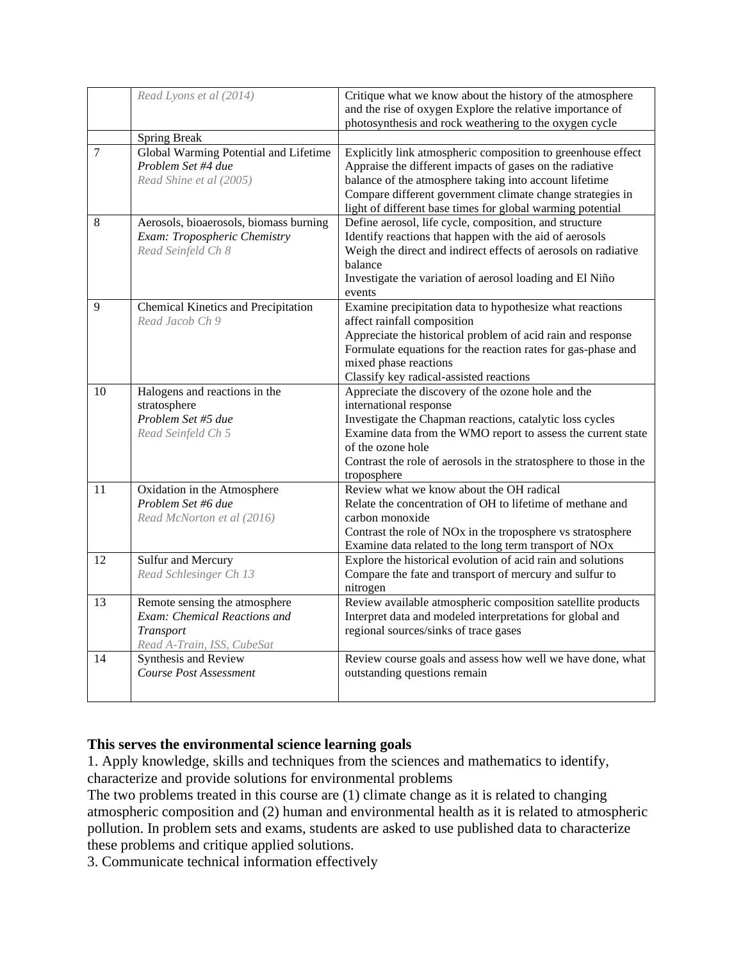|    | Read Lyons et al (2014)                | Critique what we know about the history of the atmosphere               |
|----|----------------------------------------|-------------------------------------------------------------------------|
|    |                                        | and the rise of oxygen Explore the relative importance of               |
|    |                                        | photosynthesis and rock weathering to the oxygen cycle                  |
|    | <b>Spring Break</b>                    |                                                                         |
| 7  | Global Warming Potential and Lifetime  | Explicitly link atmospheric composition to greenhouse effect            |
|    | Problem Set #4 due                     | Appraise the different impacts of gases on the radiative                |
|    | Read Shine et al (2005)                | balance of the atmosphere taking into account lifetime                  |
|    |                                        | Compare different government climate change strategies in               |
|    |                                        | light of different base times for global warming potential              |
| 8  | Aerosols, bioaerosols, biomass burning | Define aerosol, life cycle, composition, and structure                  |
|    | Exam: Tropospheric Chemistry           | Identify reactions that happen with the aid of aerosols                 |
|    | Read Seinfeld Ch 8                     | Weigh the direct and indirect effects of aerosols on radiative          |
|    |                                        | balance                                                                 |
|    |                                        | Investigate the variation of aerosol loading and El Niño                |
|    |                                        | events                                                                  |
| 9  | Chemical Kinetics and Precipitation    | Examine precipitation data to hypothesize what reactions                |
|    | Read Jacob Ch 9                        | affect rainfall composition                                             |
|    |                                        | Appreciate the historical problem of acid rain and response             |
|    |                                        | Formulate equations for the reaction rates for gas-phase and            |
|    |                                        | mixed phase reactions                                                   |
|    |                                        | Classify key radical-assisted reactions                                 |
| 10 | Halogens and reactions in the          | Appreciate the discovery of the ozone hole and the                      |
|    | stratosphere                           | international response                                                  |
|    | Problem Set #5 due                     | Investigate the Chapman reactions, catalytic loss cycles                |
|    | Read Seinfeld Ch 5                     | Examine data from the WMO report to assess the current state            |
|    |                                        | of the ozone hole                                                       |
|    |                                        | Contrast the role of aerosols in the stratosphere to those in the       |
|    |                                        | troposphere                                                             |
| 11 | Oxidation in the Atmosphere            | Review what we know about the OH radical                                |
|    | Problem Set #6 due                     | Relate the concentration of OH to lifetime of methane and               |
|    | Read McNorton et al (2016)             | carbon monoxide                                                         |
|    |                                        | Contrast the role of NO <sub>x</sub> in the troposphere vs stratosphere |
|    |                                        | Examine data related to the long term transport of NOx                  |
| 12 | Sulfur and Mercury                     | Explore the historical evolution of acid rain and solutions             |
|    | Read Schlesinger Ch 13                 | Compare the fate and transport of mercury and sulfur to                 |
|    |                                        | nitrogen                                                                |
| 13 | Remote sensing the atmosphere          | Review available atmospheric composition satellite products             |
|    | Exam: Chemical Reactions and           | Interpret data and modeled interpretations for global and               |
|    | Transport                              | regional sources/sinks of trace gases                                   |
|    | Read A-Train, ISS, CubeSat             |                                                                         |
| 14 | Synthesis and Review                   | Review course goals and assess how well we have done, what              |
|    | <b>Course Post Assessment</b>          | outstanding questions remain                                            |
|    |                                        |                                                                         |
|    |                                        |                                                                         |

# **This serves the environmental science learning goals**

1. Apply knowledge, skills and techniques from the sciences and mathematics to identify, characterize and provide solutions for environmental problems

The two problems treated in this course are (1) climate change as it is related to changing atmospheric composition and (2) human and environmental health as it is related to atmospheric pollution. In problem sets and exams, students are asked to use published data to characterize these problems and critique applied solutions.

3. Communicate technical information effectively